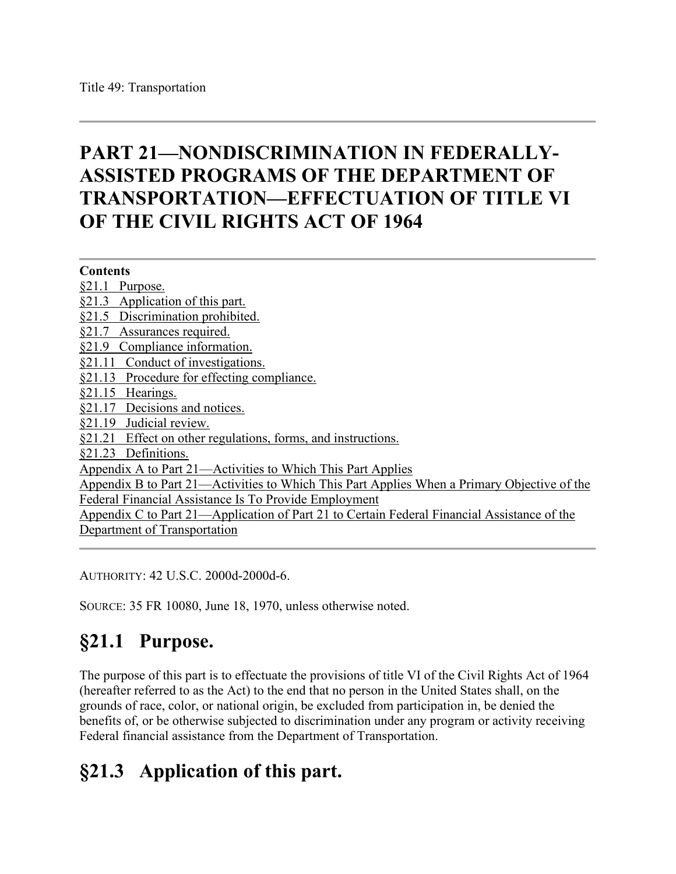# **PART 21—NONDISCRIMINATION IN FEDERALLY-ASSISTED PROGRAMS OF THE DEPARTMENT OF TRANSPORTATION—EFFECTUATION OF TITLE VI OF THE CIVIL RIGHTS ACT OF 1964**

**Contents** [§21.1 Purpose.](https://www.ecfr.gov/cgi-bin/retrieveECFR?gp=&SID=e8aff74e87dd205b720967ba47ae6f79&mc=true&n=pt49.1.21&r=PART&ty=HTML#se49.1.21_11) [§21.3 Application of this part.](https://www.ecfr.gov/cgi-bin/retrieveECFR?gp=&SID=e8aff74e87dd205b720967ba47ae6f79&mc=true&n=pt49.1.21&r=PART&ty=HTML#se49.1.21_13) [§21.5 Discrimination prohibited.](https://www.ecfr.gov/cgi-bin/retrieveECFR?gp=&SID=e8aff74e87dd205b720967ba47ae6f79&mc=true&n=pt49.1.21&r=PART&ty=HTML#se49.1.21_15) [§21.7 Assurances required.](https://www.ecfr.gov/cgi-bin/retrieveECFR?gp=&SID=e8aff74e87dd205b720967ba47ae6f79&mc=true&n=pt49.1.21&r=PART&ty=HTML#se49.1.21_17) [§21.9 Compliance information.](https://www.ecfr.gov/cgi-bin/retrieveECFR?gp=&SID=e8aff74e87dd205b720967ba47ae6f79&mc=true&n=pt49.1.21&r=PART&ty=HTML#se49.1.21_19) [§21.11 Conduct of investigations.](https://www.ecfr.gov/cgi-bin/retrieveECFR?gp=&SID=e8aff74e87dd205b720967ba47ae6f79&mc=true&n=pt49.1.21&r=PART&ty=HTML#se49.1.21_111) [§21.13 Procedure for effecting compliance.](https://www.ecfr.gov/cgi-bin/retrieveECFR?gp=&SID=e8aff74e87dd205b720967ba47ae6f79&mc=true&n=pt49.1.21&r=PART&ty=HTML#se49.1.21_113) [§21.15 Hearings.](https://www.ecfr.gov/cgi-bin/retrieveECFR?gp=&SID=e8aff74e87dd205b720967ba47ae6f79&mc=true&n=pt49.1.21&r=PART&ty=HTML#se49.1.21_115) [§21.17 Decisions and notices.](https://www.ecfr.gov/cgi-bin/retrieveECFR?gp=&SID=e8aff74e87dd205b720967ba47ae6f79&mc=true&n=pt49.1.21&r=PART&ty=HTML#se49.1.21_117) [§21.19 Judicial review.](https://www.ecfr.gov/cgi-bin/retrieveECFR?gp=&SID=e8aff74e87dd205b720967ba47ae6f79&mc=true&n=pt49.1.21&r=PART&ty=HTML#se49.1.21_119) [§21.21 Effect on other regulations, forms, and instructions.](https://www.ecfr.gov/cgi-bin/retrieveECFR?gp=&SID=e8aff74e87dd205b720967ba47ae6f79&mc=true&n=pt49.1.21&r=PART&ty=HTML#se49.1.21_121) [§21.23 Definitions.](https://www.ecfr.gov/cgi-bin/retrieveECFR?gp=&SID=e8aff74e87dd205b720967ba47ae6f79&mc=true&n=pt49.1.21&r=PART&ty=HTML#se49.1.21_123) [Appendix A to Part 21—Activities to Which This Part Applies](https://www.ecfr.gov/cgi-bin/retrieveECFR?gp=&SID=e8aff74e87dd205b720967ba47ae6f79&mc=true&n=pt49.1.21&r=PART&ty=HTML#ap49.1.21_123.a) [Appendix B to Part 21—Activities to Which This Part Applies When a Primary Objective of the](https://www.ecfr.gov/cgi-bin/retrieveECFR?gp=&SID=e8aff74e87dd205b720967ba47ae6f79&mc=true&n=pt49.1.21&r=PART&ty=HTML#ap49.1.21_123.b)  [Federal Financial Assistance Is To Provide Employment](https://www.ecfr.gov/cgi-bin/retrieveECFR?gp=&SID=e8aff74e87dd205b720967ba47ae6f79&mc=true&n=pt49.1.21&r=PART&ty=HTML#ap49.1.21_123.b) Appendix C to Part 21—Application of Part [21 to Certain Federal Financial Assistance of the](https://www.ecfr.gov/cgi-bin/retrieveECFR?gp=&SID=e8aff74e87dd205b720967ba47ae6f79&mc=true&n=pt49.1.21&r=PART&ty=HTML#ap49.1.21_123.c)  [Department of Transportation](https://www.ecfr.gov/cgi-bin/retrieveECFR?gp=&SID=e8aff74e87dd205b720967ba47ae6f79&mc=true&n=pt49.1.21&r=PART&ty=HTML#ap49.1.21_123.c)

AUTHORITY: 42 U.S.C. 2000d-2000d-6.

SOURCE: 35 FR 10080, June 18, 1970, unless otherwise noted.

# **§21.1 Purpose.**

The purpose of this part is to effectuate the provisions of title VI of the Civil Rights Act of 1964 (hereafter referred to as the Act) to the end that no person in the United States shall, on the grounds of race, color, or national origin, be excluded from participation in, be denied the benefits of, or be otherwise subjected to discrimination under any program or activity receiving Federal financial assistance from the Department of Transportation.

# **§21.3 Application of this part.**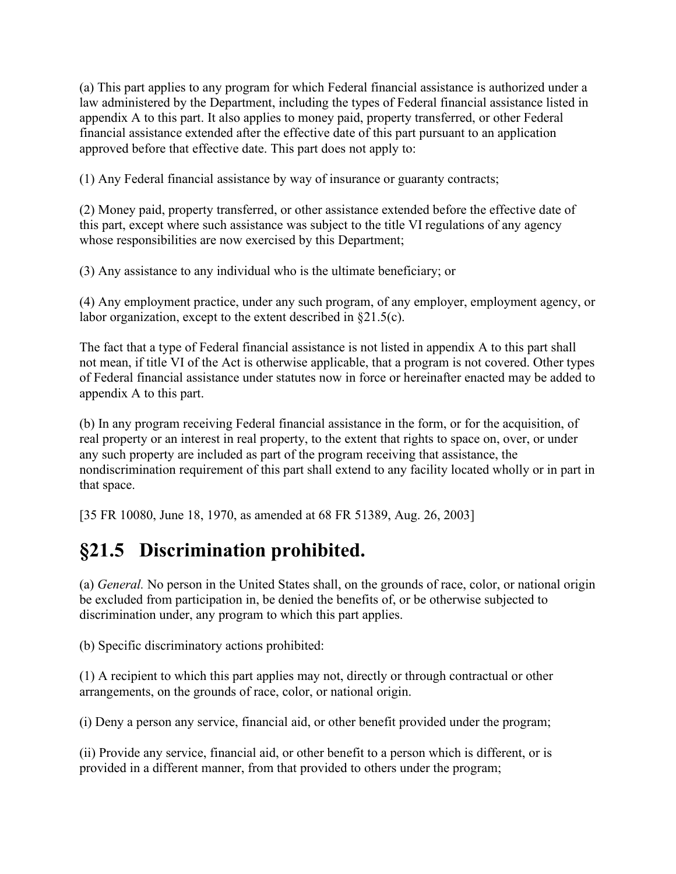(a) This part applies to any program for which Federal financial assistance is authorized under a law administered by the Department, including the types of Federal financial assistance listed in appendix A to this part. It also applies to money paid, property transferred, or other Federal financial assistance extended after the effective date of this part pursuant to an application approved before that effective date. This part does not apply to:

(1) Any Federal financial assistance by way of insurance or guaranty contracts;

(2) Money paid, property transferred, or other assistance extended before the effective date of this part, except where such assistance was subject to the title VI regulations of any agency whose responsibilities are now exercised by this Department;

(3) Any assistance to any individual who is the ultimate beneficiary; or

(4) Any employment practice, under any such program, of any employer, employment agency, or labor organization, except to the extent described in §21.5(c).

The fact that a type of Federal financial assistance is not listed in appendix A to this part shall not mean, if title VI of the Act is otherwise applicable, that a program is not covered. Other types of Federal financial assistance under statutes now in force or hereinafter enacted may be added to appendix A to this part.

(b) In any program receiving Federal financial assistance in the form, or for the acquisition, of real property or an interest in real property, to the extent that rights to space on, over, or under any such property are included as part of the program receiving that assistance, the nondiscrimination requirement of this part shall extend to any facility located wholly or in part in that space.

[35 FR 10080, June 18, 1970, as amended at 68 FR 51389, Aug. 26, 2003]

# **§21.5 Discrimination prohibited.**

(a) *General.* No person in the United States shall, on the grounds of race, color, or national origin be excluded from participation in, be denied the benefits of, or be otherwise subjected to discrimination under, any program to which this part applies.

(b) Specific discriminatory actions prohibited:

(1) A recipient to which this part applies may not, directly or through contractual or other arrangements, on the grounds of race, color, or national origin.

(i) Deny a person any service, financial aid, or other benefit provided under the program;

(ii) Provide any service, financial aid, or other benefit to a person which is different, or is provided in a different manner, from that provided to others under the program;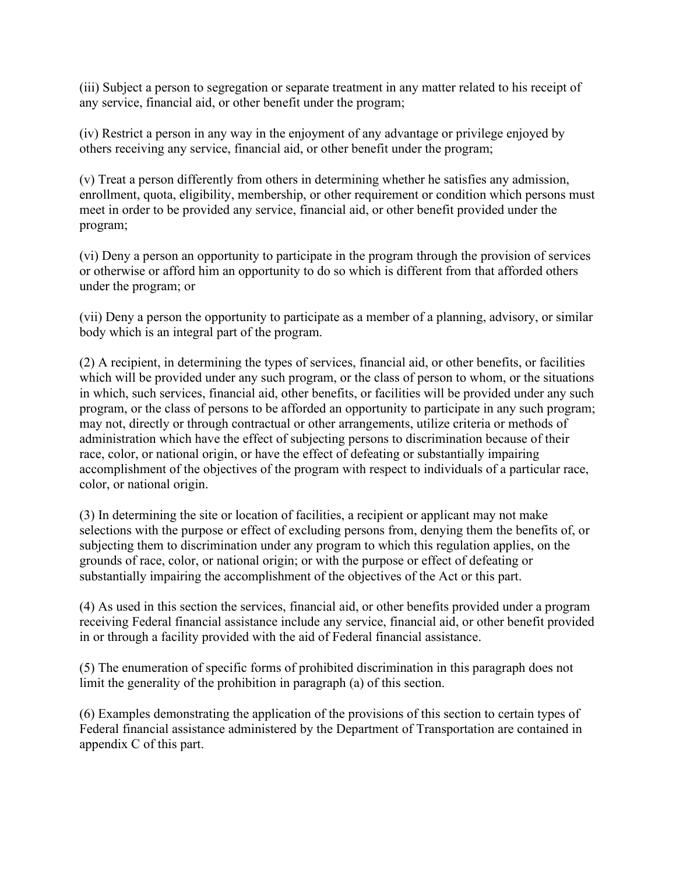(iii) Subject a person to segregation or separate treatment in any matter related to his receipt of any service, financial aid, or other benefit under the program;

(iv) Restrict a person in any way in the enjoyment of any advantage or privilege enjoyed by others receiving any service, financial aid, or other benefit under the program;

(v) Treat a person differently from others in determining whether he satisfies any admission, enrollment, quota, eligibility, membership, or other requirement or condition which persons must meet in order to be provided any service, financial aid, or other benefit provided under the program;

(vi) Deny a person an opportunity to participate in the program through the provision of services or otherwise or afford him an opportunity to do so which is different from that afforded others under the program; or

(vii) Deny a person the opportunity to participate as a member of a planning, advisory, or similar body which is an integral part of the program.

(2) A recipient, in determining the types of services, financial aid, or other benefits, or facilities which will be provided under any such program, or the class of person to whom, or the situations in which, such services, financial aid, other benefits, or facilities will be provided under any such program, or the class of persons to be afforded an opportunity to participate in any such program; may not, directly or through contractual or other arrangements, utilize criteria or methods of administration which have the effect of subjecting persons to discrimination because of their race, color, or national origin, or have the effect of defeating or substantially impairing accomplishment of the objectives of the program with respect to individuals of a particular race, color, or national origin.

(3) In determining the site or location of facilities, a recipient or applicant may not make selections with the purpose or effect of excluding persons from, denying them the benefits of, or subjecting them to discrimination under any program to which this regulation applies, on the grounds of race, color, or national origin; or with the purpose or effect of defeating or substantially impairing the accomplishment of the objectives of the Act or this part.

(4) As used in this section the services, financial aid, or other benefits provided under a program receiving Federal financial assistance include any service, financial aid, or other benefit provided in or through a facility provided with the aid of Federal financial assistance.

(5) The enumeration of specific forms of prohibited discrimination in this paragraph does not limit the generality of the prohibition in paragraph (a) of this section.

(6) Examples demonstrating the application of the provisions of this section to certain types of Federal financial assistance administered by the Department of Transportation are contained in appendix C of this part.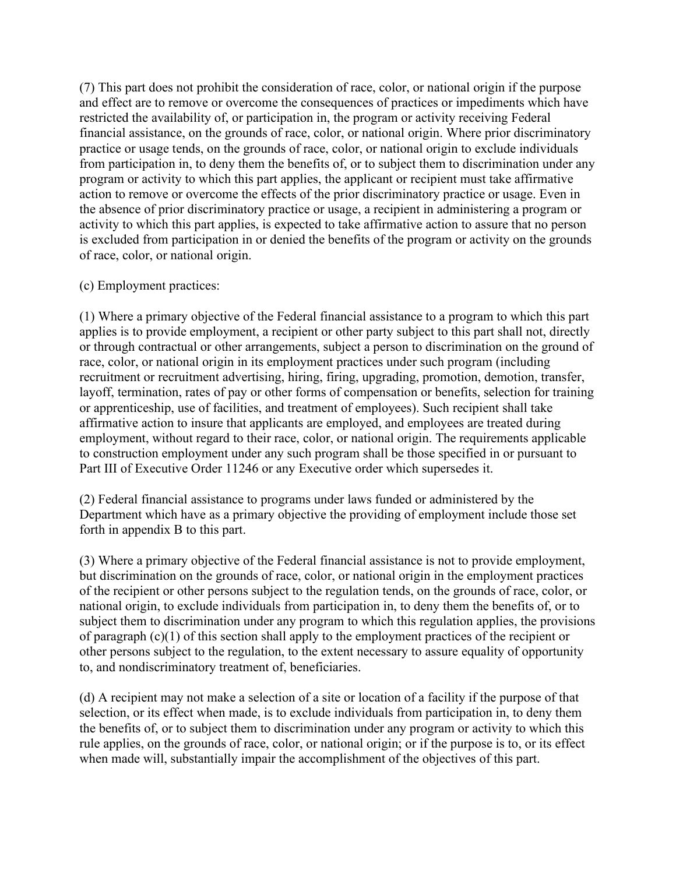(7) This part does not prohibit the consideration of race, color, or national origin if the purpose and effect are to remove or overcome the consequences of practices or impediments which have restricted the availability of, or participation in, the program or activity receiving Federal financial assistance, on the grounds of race, color, or national origin. Where prior discriminatory practice or usage tends, on the grounds of race, color, or national origin to exclude individuals from participation in, to deny them the benefits of, or to subject them to discrimination under any program or activity to which this part applies, the applicant or recipient must take affirmative action to remove or overcome the effects of the prior discriminatory practice or usage. Even in the absence of prior discriminatory practice or usage, a recipient in administering a program or activity to which this part applies, is expected to take affirmative action to assure that no person is excluded from participation in or denied the benefits of the program or activity on the grounds of race, color, or national origin.

#### (c) Employment practices:

(1) Where a primary objective of the Federal financial assistance to a program to which this part applies is to provide employment, a recipient or other party subject to this part shall not, directly or through contractual or other arrangements, subject a person to discrimination on the ground of race, color, or national origin in its employment practices under such program (including recruitment or recruitment advertising, hiring, firing, upgrading, promotion, demotion, transfer, layoff, termination, rates of pay or other forms of compensation or benefits, selection for training or apprenticeship, use of facilities, and treatment of employees). Such recipient shall take affirmative action to insure that applicants are employed, and employees are treated during employment, without regard to their race, color, or national origin. The requirements applicable to construction employment under any such program shall be those specified in or pursuant to Part III of Executive Order 11246 or any Executive order which supersedes it.

(2) Federal financial assistance to programs under laws funded or administered by the Department which have as a primary objective the providing of employment include those set forth in appendix B to this part.

(3) Where a primary objective of the Federal financial assistance is not to provide employment, but discrimination on the grounds of race, color, or national origin in the employment practices of the recipient or other persons subject to the regulation tends, on the grounds of race, color, or national origin, to exclude individuals from participation in, to deny them the benefits of, or to subject them to discrimination under any program to which this regulation applies, the provisions of paragraph (c)(1) of this section shall apply to the employment practices of the recipient or other persons subject to the regulation, to the extent necessary to assure equality of opportunity to, and nondiscriminatory treatment of, beneficiaries.

(d) A recipient may not make a selection of a site or location of a facility if the purpose of that selection, or its effect when made, is to exclude individuals from participation in, to deny them the benefits of, or to subject them to discrimination under any program or activity to which this rule applies, on the grounds of race, color, or national origin; or if the purpose is to, or its effect when made will, substantially impair the accomplishment of the objectives of this part.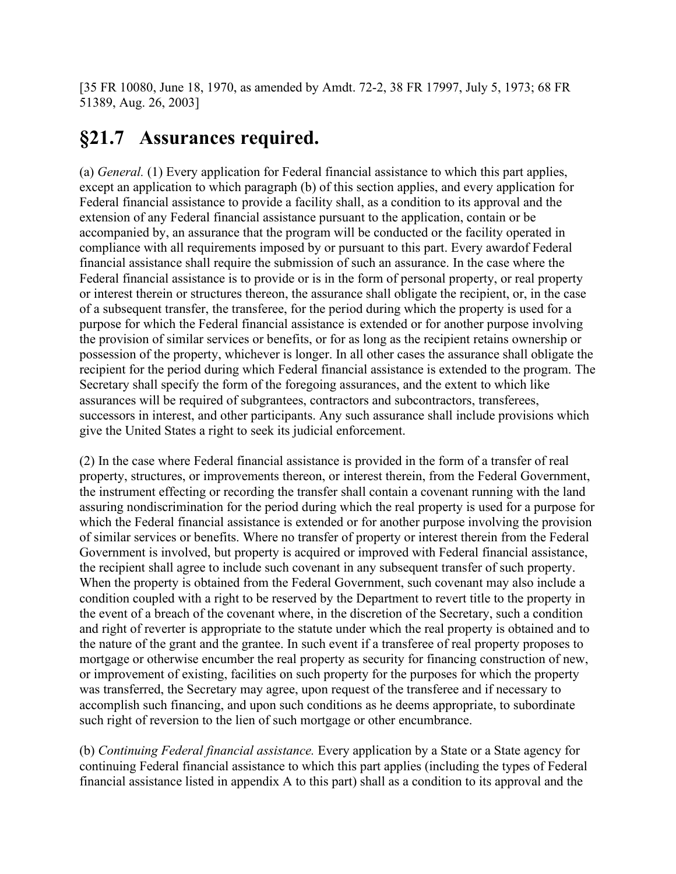[35 FR 10080, June 18, 1970, as amended by Amdt. 72-2, 38 FR 17997, July 5, 1973; 68 FR 51389, Aug. 26, 2003]

#### **§21.7 Assurances required.**

(a) *General.* (1) Every application for Federal financial assistance to which this part applies, except an application to which paragraph (b) of this section applies, and every application for Federal financial assistance to provide a facility shall, as a condition to its approval and the extension of any Federal financial assistance pursuant to the application, contain or be accompanied by, an assurance that the program will be conducted or the facility operated in compliance with all requirements imposed by or pursuant to this part. Every awardof Federal financial assistance shall require the submission of such an assurance. In the case where the Federal financial assistance is to provide or is in the form of personal property, or real property or interest therein or structures thereon, the assurance shall obligate the recipient, or, in the case of a subsequent transfer, the transferee, for the period during which the property is used for a purpose for which the Federal financial assistance is extended or for another purpose involving the provision of similar services or benefits, or for as long as the recipient retains ownership or possession of the property, whichever is longer. In all other cases the assurance shall obligate the recipient for the period during which Federal financial assistance is extended to the program. The Secretary shall specify the form of the foregoing assurances, and the extent to which like assurances will be required of subgrantees, contractors and subcontractors, transferees, successors in interest, and other participants. Any such assurance shall include provisions which give the United States a right to seek its judicial enforcement.

(2) In the case where Federal financial assistance is provided in the form of a transfer of real property, structures, or improvements thereon, or interest therein, from the Federal Government, the instrument effecting or recording the transfer shall contain a covenant running with the land assuring nondiscrimination for the period during which the real property is used for a purpose for which the Federal financial assistance is extended or for another purpose involving the provision of similar services or benefits. Where no transfer of property or interest therein from the Federal Government is involved, but property is acquired or improved with Federal financial assistance, the recipient shall agree to include such covenant in any subsequent transfer of such property. When the property is obtained from the Federal Government, such covenant may also include a condition coupled with a right to be reserved by the Department to revert title to the property in the event of a breach of the covenant where, in the discretion of the Secretary, such a condition and right of reverter is appropriate to the statute under which the real property is obtained and to the nature of the grant and the grantee. In such event if a transferee of real property proposes to mortgage or otherwise encumber the real property as security for financing construction of new, or improvement of existing, facilities on such property for the purposes for which the property was transferred, the Secretary may agree, upon request of the transferee and if necessary to accomplish such financing, and upon such conditions as he deems appropriate, to subordinate such right of reversion to the lien of such mortgage or other encumbrance.

(b) *Continuing Federal financial assistance.* Every application by a State or a State agency for continuing Federal financial assistance to which this part applies (including the types of Federal financial assistance listed in appendix A to this part) shall as a condition to its approval and the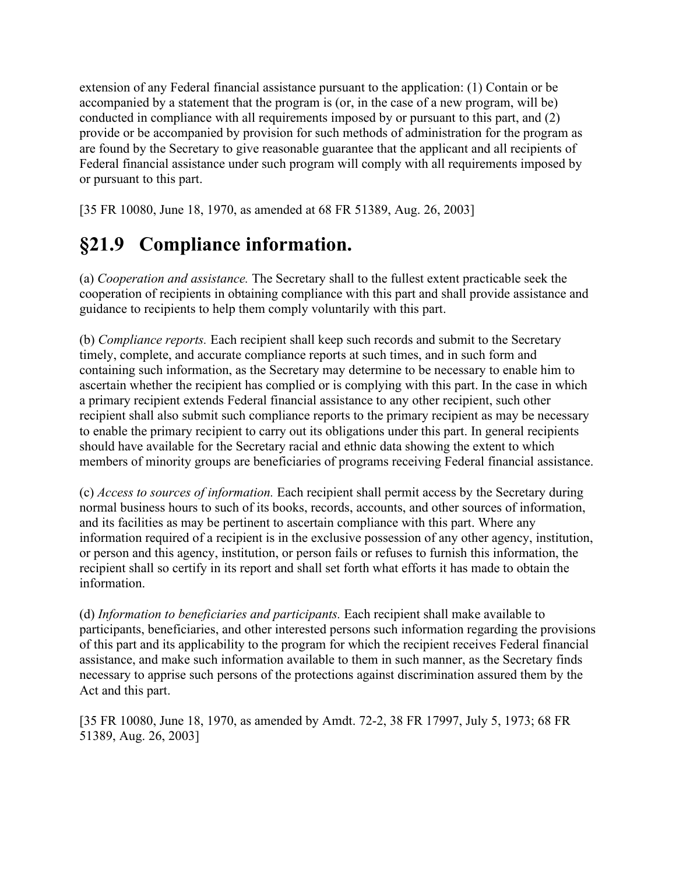extension of any Federal financial assistance pursuant to the application: (1) Contain or be accompanied by a statement that the program is (or, in the case of a new program, will be) conducted in compliance with all requirements imposed by or pursuant to this part, and (2) provide or be accompanied by provision for such methods of administration for the program as are found by the Secretary to give reasonable guarantee that the applicant and all recipients of Federal financial assistance under such program will comply with all requirements imposed by or pursuant to this part.

[35 FR 10080, June 18, 1970, as amended at 68 FR 51389, Aug. 26, 2003]

# **§21.9 Compliance information.**

(a) *Cooperation and assistance.* The Secretary shall to the fullest extent practicable seek the cooperation of recipients in obtaining compliance with this part and shall provide assistance and guidance to recipients to help them comply voluntarily with this part.

(b) *Compliance reports.* Each recipient shall keep such records and submit to the Secretary timely, complete, and accurate compliance reports at such times, and in such form and containing such information, as the Secretary may determine to be necessary to enable him to ascertain whether the recipient has complied or is complying with this part. In the case in which a primary recipient extends Federal financial assistance to any other recipient, such other recipient shall also submit such compliance reports to the primary recipient as may be necessary to enable the primary recipient to carry out its obligations under this part. In general recipients should have available for the Secretary racial and ethnic data showing the extent to which members of minority groups are beneficiaries of programs receiving Federal financial assistance.

(c) *Access to sources of information.* Each recipient shall permit access by the Secretary during normal business hours to such of its books, records, accounts, and other sources of information, and its facilities as may be pertinent to ascertain compliance with this part. Where any information required of a recipient is in the exclusive possession of any other agency, institution, or person and this agency, institution, or person fails or refuses to furnish this information, the recipient shall so certify in its report and shall set forth what efforts it has made to obtain the information.

(d) *Information to beneficiaries and participants.* Each recipient shall make available to participants, beneficiaries, and other interested persons such information regarding the provisions of this part and its applicability to the program for which the recipient receives Federal financial assistance, and make such information available to them in such manner, as the Secretary finds necessary to apprise such persons of the protections against discrimination assured them by the Act and this part.

[35 FR 10080, June 18, 1970, as amended by Amdt. 72-2, 38 FR 17997, July 5, 1973; 68 FR 51389, Aug. 26, 2003]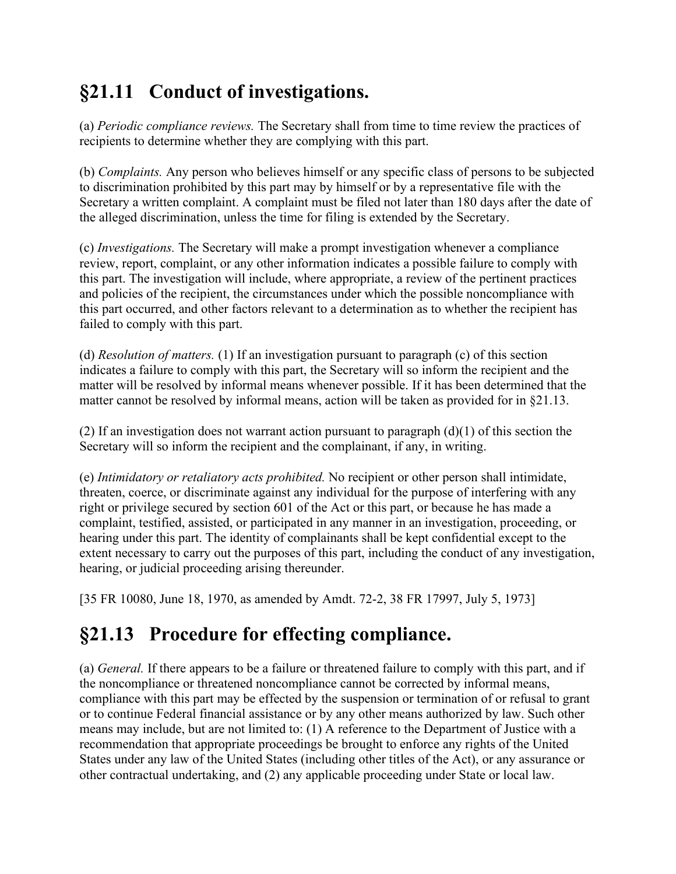# **§21.11 Conduct of investigations.**

(a) *Periodic compliance reviews.* The Secretary shall from time to time review the practices of recipients to determine whether they are complying with this part.

(b) *Complaints.* Any person who believes himself or any specific class of persons to be subjected to discrimination prohibited by this part may by himself or by a representative file with the Secretary a written complaint. A complaint must be filed not later than 180 days after the date of the alleged discrimination, unless the time for filing is extended by the Secretary.

(c) *Investigations.* The Secretary will make a prompt investigation whenever a compliance review, report, complaint, or any other information indicates a possible failure to comply with this part. The investigation will include, where appropriate, a review of the pertinent practices and policies of the recipient, the circumstances under which the possible noncompliance with this part occurred, and other factors relevant to a determination as to whether the recipient has failed to comply with this part.

(d) *Resolution of matters.* (1) If an investigation pursuant to paragraph (c) of this section indicates a failure to comply with this part, the Secretary will so inform the recipient and the matter will be resolved by informal means whenever possible. If it has been determined that the matter cannot be resolved by informal means, action will be taken as provided for in §21.13.

(2) If an investigation does not warrant action pursuant to paragraph  $(d)(1)$  of this section the Secretary will so inform the recipient and the complainant, if any, in writing.

(e) *Intimidatory or retaliatory acts prohibited.* No recipient or other person shall intimidate, threaten, coerce, or discriminate against any individual for the purpose of interfering with any right or privilege secured by section 601 of the Act or this part, or because he has made a complaint, testified, assisted, or participated in any manner in an investigation, proceeding, or hearing under this part. The identity of complainants shall be kept confidential except to the extent necessary to carry out the purposes of this part, including the conduct of any investigation, hearing, or judicial proceeding arising thereunder.

[35 FR 10080, June 18, 1970, as amended by Amdt. 72-2, 38 FR 17997, July 5, 1973]

# **§21.13 Procedure for effecting compliance.**

(a) *General.* If there appears to be a failure or threatened failure to comply with this part, and if the noncompliance or threatened noncompliance cannot be corrected by informal means, compliance with this part may be effected by the suspension or termination of or refusal to grant or to continue Federal financial assistance or by any other means authorized by law. Such other means may include, but are not limited to: (1) A reference to the Department of Justice with a recommendation that appropriate proceedings be brought to enforce any rights of the United States under any law of the United States (including other titles of the Act), or any assurance or other contractual undertaking, and (2) any applicable proceeding under State or local law.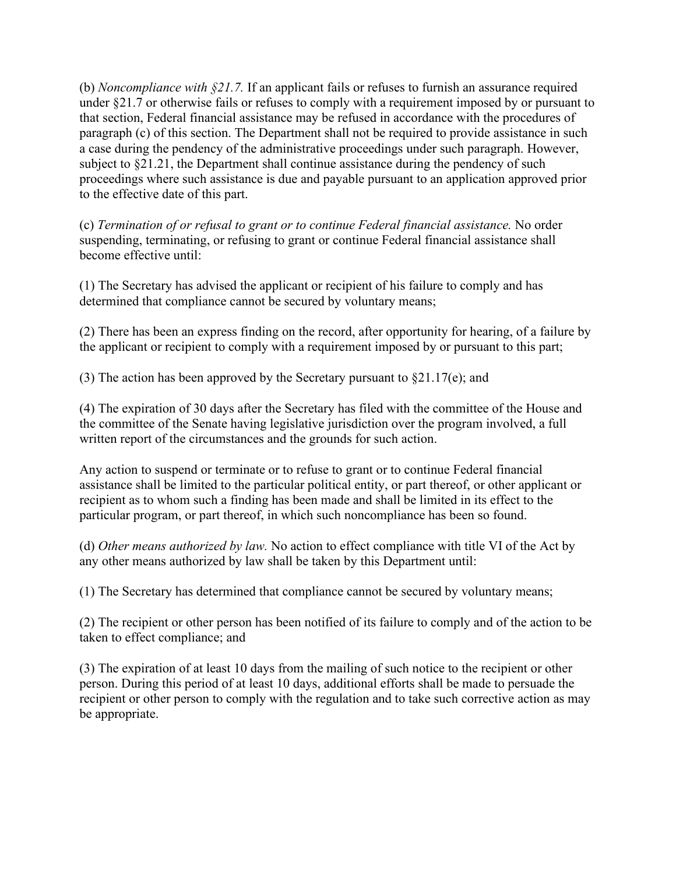(b) *Noncompliance with §21.7.* If an applicant fails or refuses to furnish an assurance required under §21.7 or otherwise fails or refuses to comply with a requirement imposed by or pursuant to that section, Federal financial assistance may be refused in accordance with the procedures of paragraph (c) of this section. The Department shall not be required to provide assistance in such a case during the pendency of the administrative proceedings under such paragraph. However, subject to §21.21, the Department shall continue assistance during the pendency of such proceedings where such assistance is due and payable pursuant to an application approved prior to the effective date of this part.

(c) *Termination of or refusal to grant or to continue Federal financial assistance.* No order suspending, terminating, or refusing to grant or continue Federal financial assistance shall become effective until:

(1) The Secretary has advised the applicant or recipient of his failure to comply and has determined that compliance cannot be secured by voluntary means;

(2) There has been an express finding on the record, after opportunity for hearing, of a failure by the applicant or recipient to comply with a requirement imposed by or pursuant to this part;

(3) The action has been approved by the Secretary pursuant to §21.17(e); and

(4) The expiration of 30 days after the Secretary has filed with the committee of the House and the committee of the Senate having legislative jurisdiction over the program involved, a full written report of the circumstances and the grounds for such action.

Any action to suspend or terminate or to refuse to grant or to continue Federal financial assistance shall be limited to the particular political entity, or part thereof, or other applicant or recipient as to whom such a finding has been made and shall be limited in its effect to the particular program, or part thereof, in which such noncompliance has been so found.

(d) *Other means authorized by law.* No action to effect compliance with title VI of the Act by any other means authorized by law shall be taken by this Department until:

(1) The Secretary has determined that compliance cannot be secured by voluntary means;

(2) The recipient or other person has been notified of its failure to comply and of the action to be taken to effect compliance; and

(3) The expiration of at least 10 days from the mailing of such notice to the recipient or other person. During this period of at least 10 days, additional efforts shall be made to persuade the recipient or other person to comply with the regulation and to take such corrective action as may be appropriate.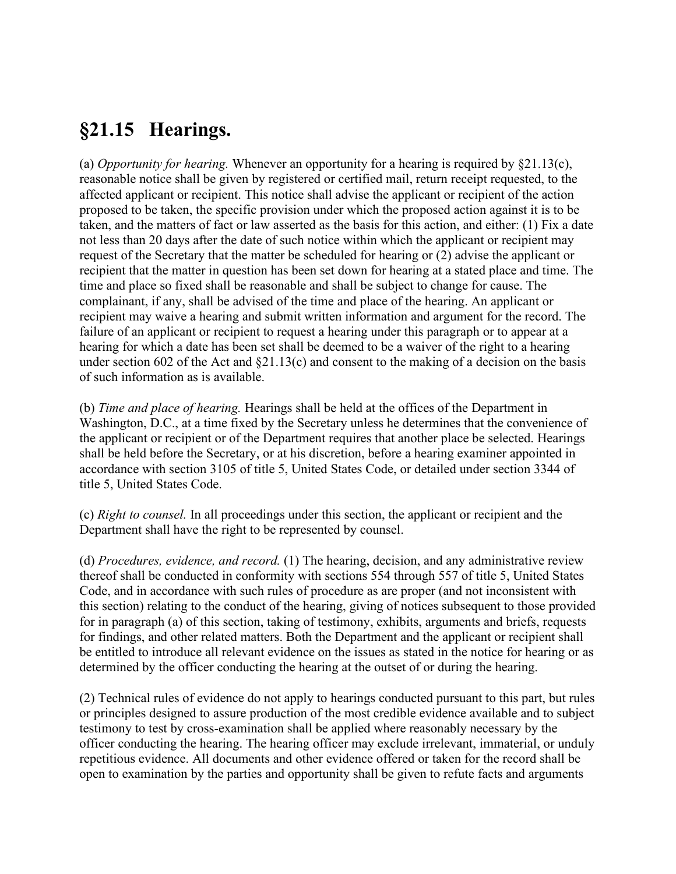#### **§21.15 Hearings.**

(a) *Opportunity for hearing.* Whenever an opportunity for a hearing is required by §21.13(c), reasonable notice shall be given by registered or certified mail, return receipt requested, to the affected applicant or recipient. This notice shall advise the applicant or recipient of the action proposed to be taken, the specific provision under which the proposed action against it is to be taken, and the matters of fact or law asserted as the basis for this action, and either: (1) Fix a date not less than 20 days after the date of such notice within which the applicant or recipient may request of the Secretary that the matter be scheduled for hearing or (2) advise the applicant or recipient that the matter in question has been set down for hearing at a stated place and time. The time and place so fixed shall be reasonable and shall be subject to change for cause. The complainant, if any, shall be advised of the time and place of the hearing. An applicant or recipient may waive a hearing and submit written information and argument for the record. The failure of an applicant or recipient to request a hearing under this paragraph or to appear at a hearing for which a date has been set shall be deemed to be a waiver of the right to a hearing under section 602 of the Act and  $\S21.13(c)$  and consent to the making of a decision on the basis of such information as is available.

(b) *Time and place of hearing.* Hearings shall be held at the offices of the Department in Washington, D.C., at a time fixed by the Secretary unless he determines that the convenience of the applicant or recipient or of the Department requires that another place be selected. Hearings shall be held before the Secretary, or at his discretion, before a hearing examiner appointed in accordance with section 3105 of title 5, United States Code, or detailed under section 3344 of title 5, United States Code.

(c) *Right to counsel.* In all proceedings under this section, the applicant or recipient and the Department shall have the right to be represented by counsel.

(d) *Procedures, evidence, and record.* (1) The hearing, decision, and any administrative review thereof shall be conducted in conformity with sections 554 through 557 of title 5, United States Code, and in accordance with such rules of procedure as are proper (and not inconsistent with this section) relating to the conduct of the hearing, giving of notices subsequent to those provided for in paragraph (a) of this section, taking of testimony, exhibits, arguments and briefs, requests for findings, and other related matters. Both the Department and the applicant or recipient shall be entitled to introduce all relevant evidence on the issues as stated in the notice for hearing or as determined by the officer conducting the hearing at the outset of or during the hearing.

(2) Technical rules of evidence do not apply to hearings conducted pursuant to this part, but rules or principles designed to assure production of the most credible evidence available and to subject testimony to test by cross-examination shall be applied where reasonably necessary by the officer conducting the hearing. The hearing officer may exclude irrelevant, immaterial, or unduly repetitious evidence. All documents and other evidence offered or taken for the record shall be open to examination by the parties and opportunity shall be given to refute facts and arguments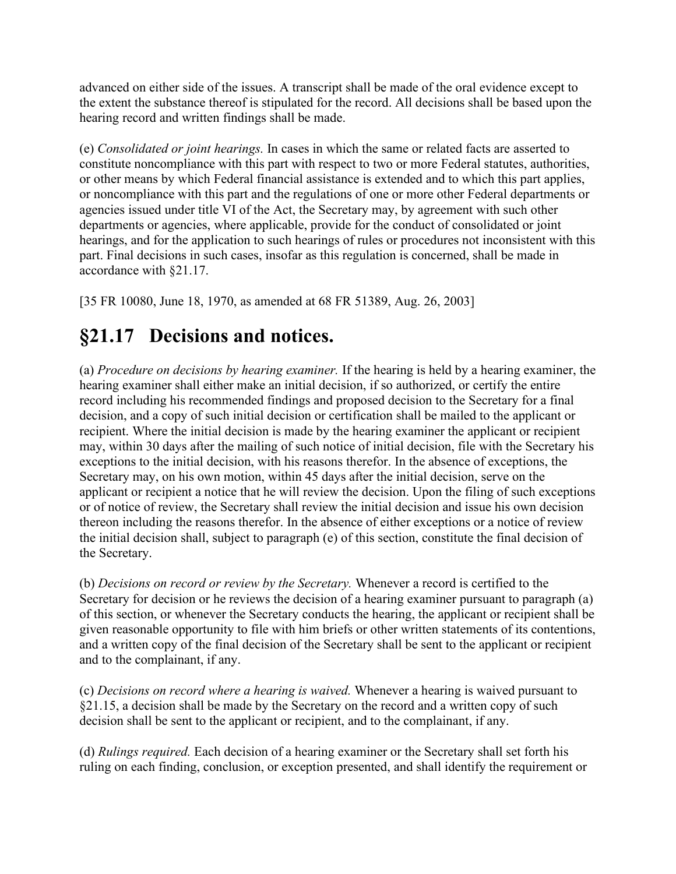advanced on either side of the issues. A transcript shall be made of the oral evidence except to the extent the substance thereof is stipulated for the record. All decisions shall be based upon the hearing record and written findings shall be made.

(e) *Consolidated or joint hearings.* In cases in which the same or related facts are asserted to constitute noncompliance with this part with respect to two or more Federal statutes, authorities, or other means by which Federal financial assistance is extended and to which this part applies, or noncompliance with this part and the regulations of one or more other Federal departments or agencies issued under title VI of the Act, the Secretary may, by agreement with such other departments or agencies, where applicable, provide for the conduct of consolidated or joint hearings, and for the application to such hearings of rules or procedures not inconsistent with this part. Final decisions in such cases, insofar as this regulation is concerned, shall be made in accordance with §21.17.

[35 FR 10080, June 18, 1970, as amended at 68 FR 51389, Aug. 26, 2003]

### **§21.17 Decisions and notices.**

(a) *Procedure on decisions by hearing examiner.* If the hearing is held by a hearing examiner, the hearing examiner shall either make an initial decision, if so authorized, or certify the entire record including his recommended findings and proposed decision to the Secretary for a final decision, and a copy of such initial decision or certification shall be mailed to the applicant or recipient. Where the initial decision is made by the hearing examiner the applicant or recipient may, within 30 days after the mailing of such notice of initial decision, file with the Secretary his exceptions to the initial decision, with his reasons therefor. In the absence of exceptions, the Secretary may, on his own motion, within 45 days after the initial decision, serve on the applicant or recipient a notice that he will review the decision. Upon the filing of such exceptions or of notice of review, the Secretary shall review the initial decision and issue his own decision thereon including the reasons therefor. In the absence of either exceptions or a notice of review the initial decision shall, subject to paragraph (e) of this section, constitute the final decision of the Secretary.

(b) *Decisions on record or review by the Secretary.* Whenever a record is certified to the Secretary for decision or he reviews the decision of a hearing examiner pursuant to paragraph (a) of this section, or whenever the Secretary conducts the hearing, the applicant or recipient shall be given reasonable opportunity to file with him briefs or other written statements of its contentions, and a written copy of the final decision of the Secretary shall be sent to the applicant or recipient and to the complainant, if any.

(c) *Decisions on record where a hearing is waived.* Whenever a hearing is waived pursuant to §21.15, a decision shall be made by the Secretary on the record and a written copy of such decision shall be sent to the applicant or recipient, and to the complainant, if any.

(d) *Rulings required.* Each decision of a hearing examiner or the Secretary shall set forth his ruling on each finding, conclusion, or exception presented, and shall identify the requirement or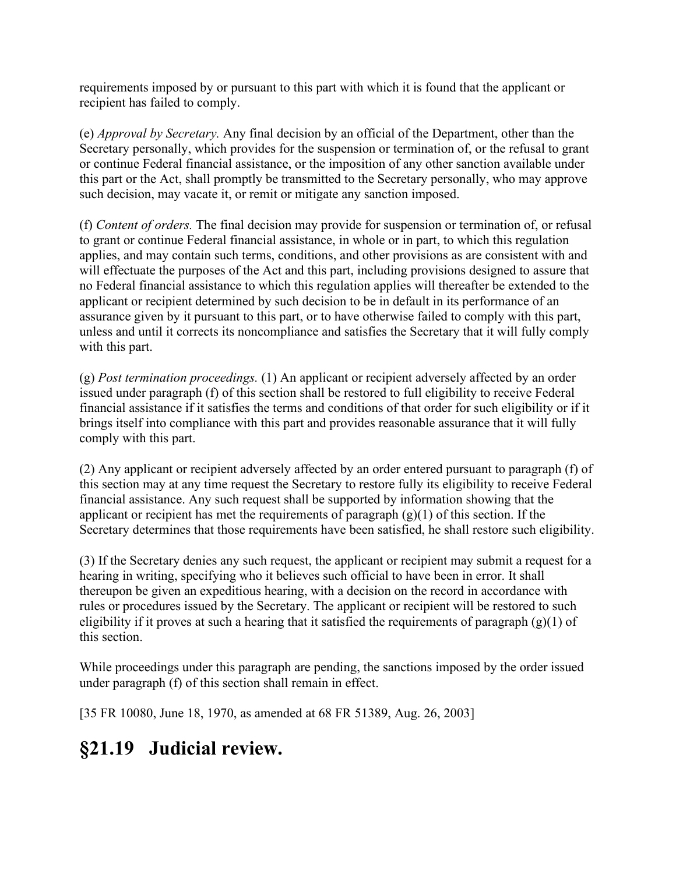requirements imposed by or pursuant to this part with which it is found that the applicant or recipient has failed to comply.

(e) *Approval by Secretary.* Any final decision by an official of the Department, other than the Secretary personally, which provides for the suspension or termination of, or the refusal to grant or continue Federal financial assistance, or the imposition of any other sanction available under this part or the Act, shall promptly be transmitted to the Secretary personally, who may approve such decision, may vacate it, or remit or mitigate any sanction imposed.

(f) *Content of orders.* The final decision may provide for suspension or termination of, or refusal to grant or continue Federal financial assistance, in whole or in part, to which this regulation applies, and may contain such terms, conditions, and other provisions as are consistent with and will effectuate the purposes of the Act and this part, including provisions designed to assure that no Federal financial assistance to which this regulation applies will thereafter be extended to the applicant or recipient determined by such decision to be in default in its performance of an assurance given by it pursuant to this part, or to have otherwise failed to comply with this part, unless and until it corrects its noncompliance and satisfies the Secretary that it will fully comply with this part.

(g) *Post termination proceedings.* (1) An applicant or recipient adversely affected by an order issued under paragraph (f) of this section shall be restored to full eligibility to receive Federal financial assistance if it satisfies the terms and conditions of that order for such eligibility or if it brings itself into compliance with this part and provides reasonable assurance that it will fully comply with this part.

(2) Any applicant or recipient adversely affected by an order entered pursuant to paragraph (f) of this section may at any time request the Secretary to restore fully its eligibility to receive Federal financial assistance. Any such request shall be supported by information showing that the applicant or recipient has met the requirements of paragraph  $(g)(1)$  of this section. If the Secretary determines that those requirements have been satisfied, he shall restore such eligibility.

(3) If the Secretary denies any such request, the applicant or recipient may submit a request for a hearing in writing, specifying who it believes such official to have been in error. It shall thereupon be given an expeditious hearing, with a decision on the record in accordance with rules or procedures issued by the Secretary. The applicant or recipient will be restored to such eligibility if it proves at such a hearing that it satisfied the requirements of paragraph  $(g)(1)$  of this section.

While proceedings under this paragraph are pending, the sanctions imposed by the order issued under paragraph (f) of this section shall remain in effect.

[35 FR 10080, June 18, 1970, as amended at 68 FR 51389, Aug. 26, 2003]

#### **§21.19 Judicial review.**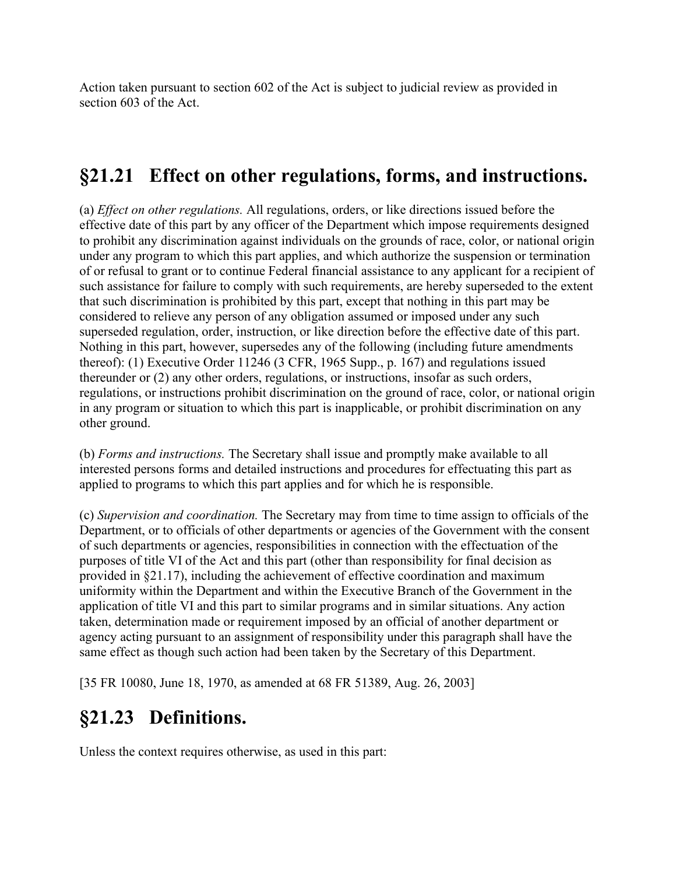Action taken pursuant to section 602 of the Act is subject to judicial review as provided in section 603 of the Act.

### **§21.21 Effect on other regulations, forms, and instructions.**

(a) *Effect on other regulations.* All regulations, orders, or like directions issued before the effective date of this part by any officer of the Department which impose requirements designed to prohibit any discrimination against individuals on the grounds of race, color, or national origin under any program to which this part applies, and which authorize the suspension or termination of or refusal to grant or to continue Federal financial assistance to any applicant for a recipient of such assistance for failure to comply with such requirements, are hereby superseded to the extent that such discrimination is prohibited by this part, except that nothing in this part may be considered to relieve any person of any obligation assumed or imposed under any such superseded regulation, order, instruction, or like direction before the effective date of this part. Nothing in this part, however, supersedes any of the following (including future amendments thereof): (1) Executive Order 11246 (3 CFR, 1965 Supp., p. 167) and regulations issued thereunder or (2) any other orders, regulations, or instructions, insofar as such orders, regulations, or instructions prohibit discrimination on the ground of race, color, or national origin in any program or situation to which this part is inapplicable, or prohibit discrimination on any other ground.

(b) *Forms and instructions.* The Secretary shall issue and promptly make available to all interested persons forms and detailed instructions and procedures for effectuating this part as applied to programs to which this part applies and for which he is responsible.

(c) *Supervision and coordination.* The Secretary may from time to time assign to officials of the Department, or to officials of other departments or agencies of the Government with the consent of such departments or agencies, responsibilities in connection with the effectuation of the purposes of title VI of the Act and this part (other than responsibility for final decision as provided in §21.17), including the achievement of effective coordination and maximum uniformity within the Department and within the Executive Branch of the Government in the application of title VI and this part to similar programs and in similar situations. Any action taken, determination made or requirement imposed by an official of another department or agency acting pursuant to an assignment of responsibility under this paragraph shall have the same effect as though such action had been taken by the Secretary of this Department.

[35 FR 10080, June 18, 1970, as amended at 68 FR 51389, Aug. 26, 2003]

# **§21.23 Definitions.**

Unless the context requires otherwise, as used in this part: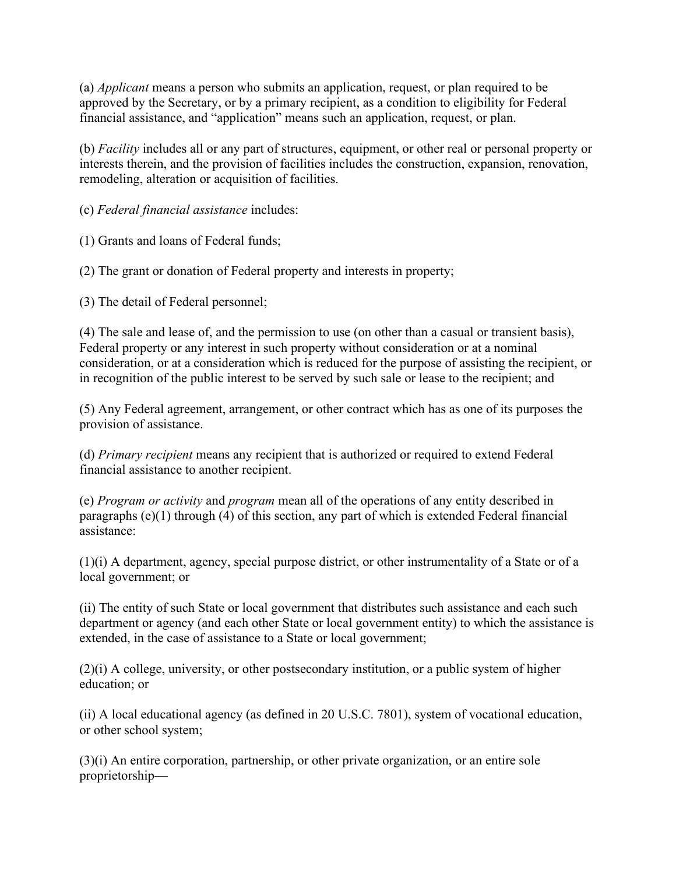(a) *Applicant* means a person who submits an application, request, or plan required to be approved by the Secretary, or by a primary recipient, as a condition to eligibility for Federal financial assistance, and "application" means such an application, request, or plan.

(b) *Facility* includes all or any part of structures, equipment, or other real or personal property or interests therein, and the provision of facilities includes the construction, expansion, renovation, remodeling, alteration or acquisition of facilities.

(c) *Federal financial assistance* includes:

(1) Grants and loans of Federal funds;

(2) The grant or donation of Federal property and interests in property;

(3) The detail of Federal personnel;

(4) The sale and lease of, and the permission to use (on other than a casual or transient basis), Federal property or any interest in such property without consideration or at a nominal consideration, or at a consideration which is reduced for the purpose of assisting the recipient, or in recognition of the public interest to be served by such sale or lease to the recipient; and

(5) Any Federal agreement, arrangement, or other contract which has as one of its purposes the provision of assistance.

(d) *Primary recipient* means any recipient that is authorized or required to extend Federal financial assistance to another recipient.

(e) *Program or activity* and *program* mean all of the operations of any entity described in paragraphs (e)(1) through (4) of this section, any part of which is extended Federal financial assistance:

(1)(i) A department, agency, special purpose district, or other instrumentality of a State or of a local government; or

(ii) The entity of such State or local government that distributes such assistance and each such department or agency (and each other State or local government entity) to which the assistance is extended, in the case of assistance to a State or local government;

(2)(i) A college, university, or other postsecondary institution, or a public system of higher education; or

(ii) A local educational agency (as defined in 20 U.S.C. 7801), system of vocational education, or other school system;

(3)(i) An entire corporation, partnership, or other private organization, or an entire sole proprietorship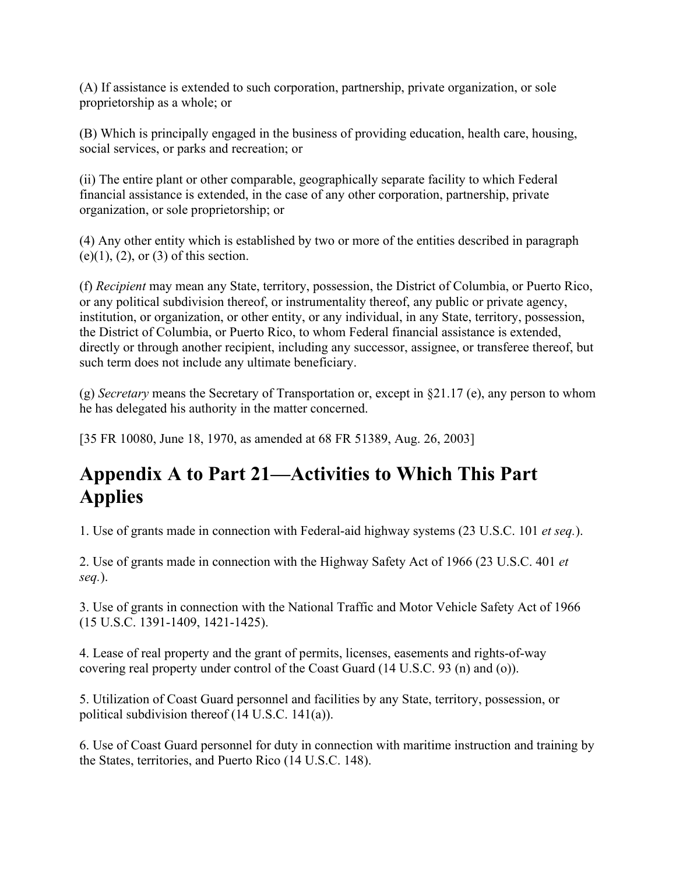(A) If assistance is extended to such corporation, partnership, private organization, or sole proprietorship as a whole; or

(B) Which is principally engaged in the business of providing education, health care, housing, social services, or parks and recreation; or

(ii) The entire plant or other comparable, geographically separate facility to which Federal financial assistance is extended, in the case of any other corporation, partnership, private organization, or sole proprietorship; or

(4) Any other entity which is established by two or more of the entities described in paragraph  $(e)(1)$ ,  $(2)$ , or  $(3)$  of this section.

(f) *Recipient* may mean any State, territory, possession, the District of Columbia, or Puerto Rico, or any political subdivision thereof, or instrumentality thereof, any public or private agency, institution, or organization, or other entity, or any individual, in any State, territory, possession, the District of Columbia, or Puerto Rico, to whom Federal financial assistance is extended, directly or through another recipient, including any successor, assignee, or transferee thereof, but such term does not include any ultimate beneficiary.

(g) *Secretary* means the Secretary of Transportation or, except in §21.17 (e), any person to whom he has delegated his authority in the matter concerned.

[35 FR 10080, June 18, 1970, as amended at 68 FR 51389, Aug. 26, 2003]

# **Appendix A to Part 21—Activities to Which This Part Applies**

1. Use of grants made in connection with Federal-aid highway systems (23 U.S.C. 101 *et seq.*).

2. Use of grants made in connection with the Highway Safety Act of 1966 (23 U.S.C. 401 *et seq.*).

3. Use of grants in connection with the National Traffic and Motor Vehicle Safety Act of 1966 (15 U.S.C. 1391-1409, 1421-1425).

4. Lease of real property and the grant of permits, licenses, easements and rights-of-way covering real property under control of the Coast Guard (14 U.S.C. 93 (n) and (o)).

5. Utilization of Coast Guard personnel and facilities by any State, territory, possession, or political subdivision thereof (14 U.S.C. 141(a)).

6. Use of Coast Guard personnel for duty in connection with maritime instruction and training by the States, territories, and Puerto Rico (14 U.S.C. 148).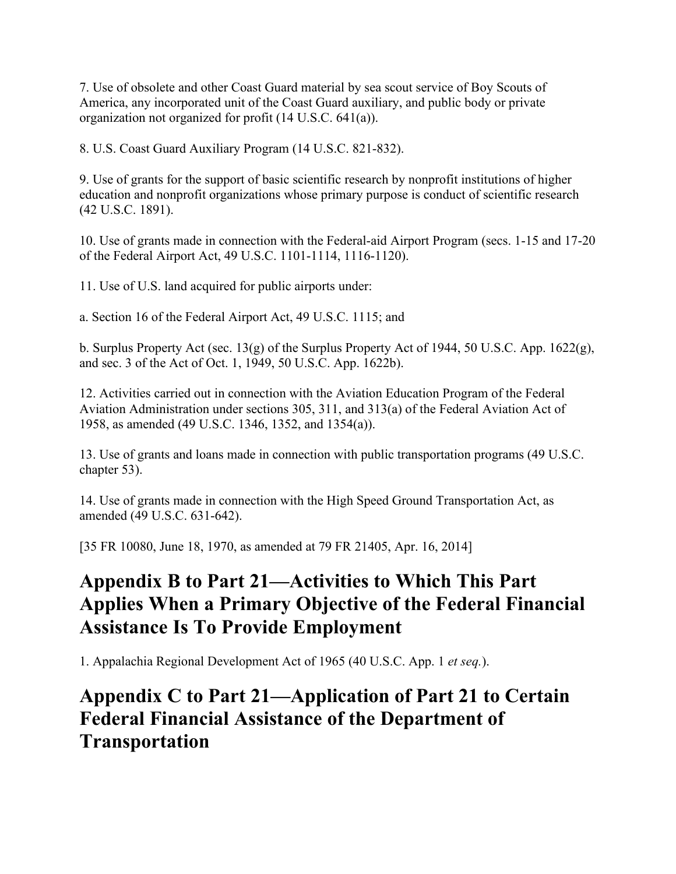7. Use of obsolete and other Coast Guard material by sea scout service of Boy Scouts of America, any incorporated unit of the Coast Guard auxiliary, and public body or private organization not organized for profit (14 U.S.C. 641(a)).

8. U.S. Coast Guard Auxiliary Program (14 U.S.C. 821-832).

9. Use of grants for the support of basic scientific research by nonprofit institutions of higher education and nonprofit organizations whose primary purpose is conduct of scientific research (42 U.S.C. 1891).

10. Use of grants made in connection with the Federal-aid Airport Program (secs. 1-15 and 17-20 of the Federal Airport Act, 49 U.S.C. 1101-1114, 1116-1120).

11. Use of U.S. land acquired for public airports under:

a. Section 16 of the Federal Airport Act, 49 U.S.C. 1115; and

b. Surplus Property Act (sec. 13(g) of the Surplus Property Act of 1944, 50 U.S.C. App.  $1622(g)$ , and sec. 3 of the Act of Oct. 1, 1949, 50 U.S.C. App. 1622b).

12. Activities carried out in connection with the Aviation Education Program of the Federal Aviation Administration under sections 305, 311, and 313(a) of the Federal Aviation Act of 1958, as amended (49 U.S.C. 1346, 1352, and 1354(a)).

13. Use of grants and loans made in connection with public transportation programs (49 U.S.C. chapter 53).

14. Use of grants made in connection with the High Speed Ground Transportation Act, as amended (49 U.S.C. 631-642).

[35 FR 10080, June 18, 1970, as amended at 79 FR 21405, Apr. 16, 2014]

# **Appendix B to Part 21—Activities to Which This Part Applies When a Primary Objective of the Federal Financial Assistance Is To Provide Employment**

1. Appalachia Regional Development Act of 1965 (40 U.S.C. App. 1 *et seq.*).

### **Appendix C to Part 21—Application of Part 21 to Certain Federal Financial Assistance of the Department of Transportation**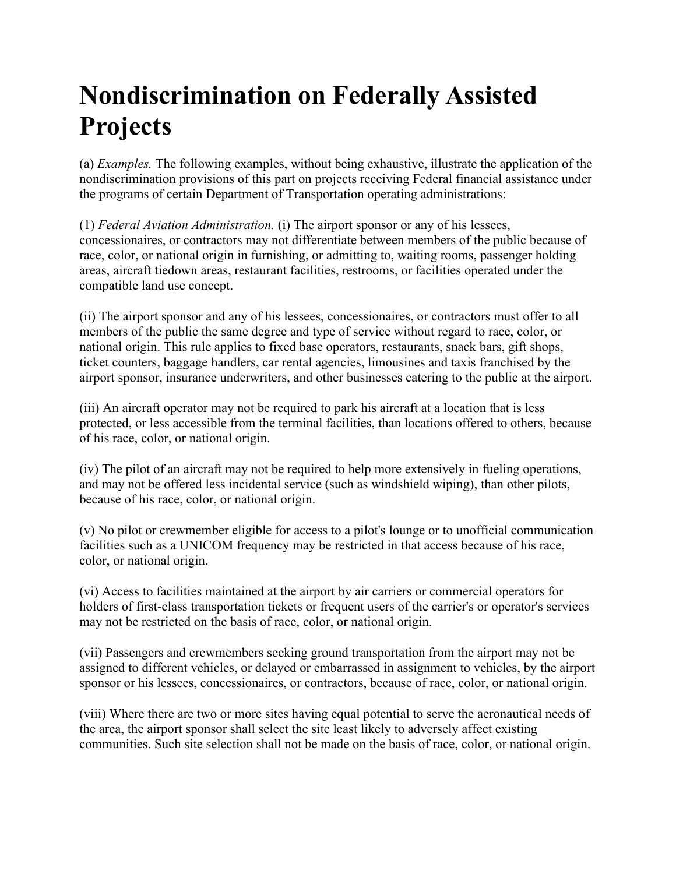# **Nondiscrimination on Federally Assisted Projects**

(a) *Examples.* The following examples, without being exhaustive, illustrate the application of the nondiscrimination provisions of this part on projects receiving Federal financial assistance under the programs of certain Department of Transportation operating administrations:

(1) *Federal Aviation Administration.* (i) The airport sponsor or any of his lessees, concessionaires, or contractors may not differentiate between members of the public because of race, color, or national origin in furnishing, or admitting to, waiting rooms, passenger holding areas, aircraft tiedown areas, restaurant facilities, restrooms, or facilities operated under the compatible land use concept.

(ii) The airport sponsor and any of his lessees, concessionaires, or contractors must offer to all members of the public the same degree and type of service without regard to race, color, or national origin. This rule applies to fixed base operators, restaurants, snack bars, gift shops, ticket counters, baggage handlers, car rental agencies, limousines and taxis franchised by the airport sponsor, insurance underwriters, and other businesses catering to the public at the airport.

(iii) An aircraft operator may not be required to park his aircraft at a location that is less protected, or less accessible from the terminal facilities, than locations offered to others, because of his race, color, or national origin.

(iv) The pilot of an aircraft may not be required to help more extensively in fueling operations, and may not be offered less incidental service (such as windshield wiping), than other pilots, because of his race, color, or national origin.

(v) No pilot or crewmember eligible for access to a pilot's lounge or to unofficial communication facilities such as a UNICOM frequency may be restricted in that access because of his race, color, or national origin.

(vi) Access to facilities maintained at the airport by air carriers or commercial operators for holders of first-class transportation tickets or frequent users of the carrier's or operator's services may not be restricted on the basis of race, color, or national origin.

(vii) Passengers and crewmembers seeking ground transportation from the airport may not be assigned to different vehicles, or delayed or embarrassed in assignment to vehicles, by the airport sponsor or his lessees, concessionaires, or contractors, because of race, color, or national origin.

(viii) Where there are two or more sites having equal potential to serve the aeronautical needs of the area, the airport sponsor shall select the site least likely to adversely affect existing communities. Such site selection shall not be made on the basis of race, color, or national origin.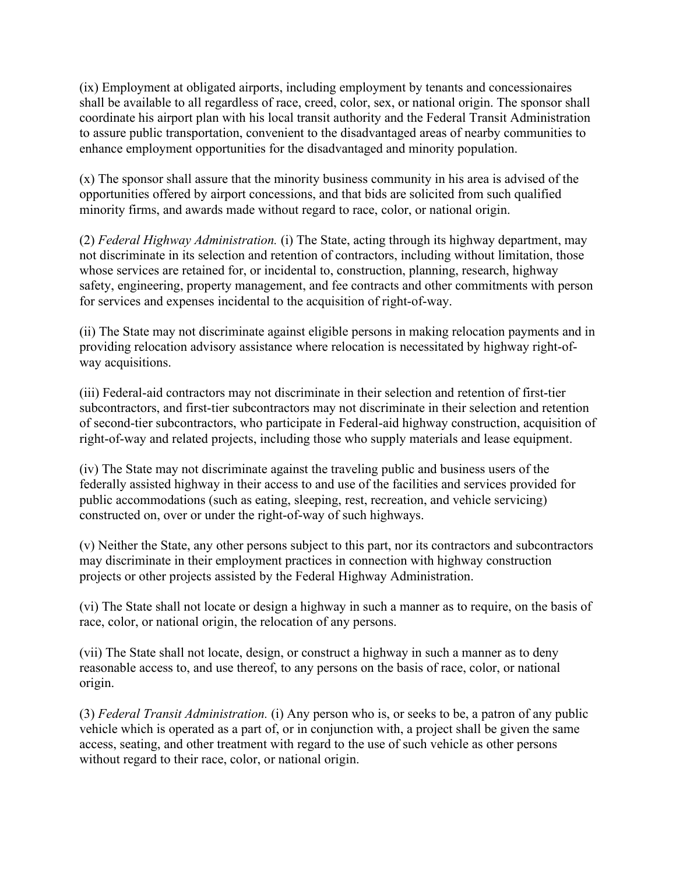(ix) Employment at obligated airports, including employment by tenants and concessionaires shall be available to all regardless of race, creed, color, sex, or national origin. The sponsor shall coordinate his airport plan with his local transit authority and the Federal Transit Administration to assure public transportation, convenient to the disadvantaged areas of nearby communities to enhance employment opportunities for the disadvantaged and minority population.

(x) The sponsor shall assure that the minority business community in his area is advised of the opportunities offered by airport concessions, and that bids are solicited from such qualified minority firms, and awards made without regard to race, color, or national origin.

(2) *Federal Highway Administration.* (i) The State, acting through its highway department, may not discriminate in its selection and retention of contractors, including without limitation, those whose services are retained for, or incidental to, construction, planning, research, highway safety, engineering, property management, and fee contracts and other commitments with person for services and expenses incidental to the acquisition of right-of-way.

(ii) The State may not discriminate against eligible persons in making relocation payments and in providing relocation advisory assistance where relocation is necessitated by highway right-ofway acquisitions.

(iii) Federal-aid contractors may not discriminate in their selection and retention of first-tier subcontractors, and first-tier subcontractors may not discriminate in their selection and retention of second-tier subcontractors, who participate in Federal-aid highway construction, acquisition of right-of-way and related projects, including those who supply materials and lease equipment.

(iv) The State may not discriminate against the traveling public and business users of the federally assisted highway in their access to and use of the facilities and services provided for public accommodations (such as eating, sleeping, rest, recreation, and vehicle servicing) constructed on, over or under the right-of-way of such highways.

(v) Neither the State, any other persons subject to this part, nor its contractors and subcontractors may discriminate in their employment practices in connection with highway construction projects or other projects assisted by the Federal Highway Administration.

(vi) The State shall not locate or design a highway in such a manner as to require, on the basis of race, color, or national origin, the relocation of any persons.

(vii) The State shall not locate, design, or construct a highway in such a manner as to deny reasonable access to, and use thereof, to any persons on the basis of race, color, or national origin.

(3) *Federal Transit Administration.* (i) Any person who is, or seeks to be, a patron of any public vehicle which is operated as a part of, or in conjunction with, a project shall be given the same access, seating, and other treatment with regard to the use of such vehicle as other persons without regard to their race, color, or national origin.